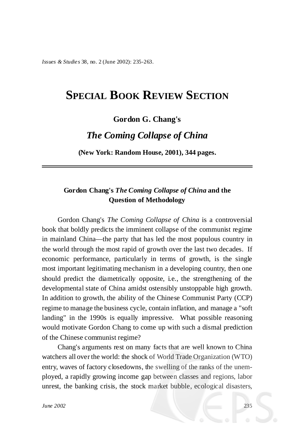*Issues & Studies* 38, no. 2 (June 2002): 235-263.

# **SPECIAL BOOK REVIEW SECTION**

### **Gordon G. Chang's**

## *The Coming Collapse of China*

**(New York: Random House, 2001), 344 pages.**

### **Gordon Chang's** *The Coming Collapse of China* **and the Question of Methodology**

Gordon Chang's *The Coming Collapse of China* is a controversial book that boldly predicts the imminent collapse of the communist regime in mainland China— the party that has led the most populous country in the world through the most rapid of growth over the last two decades. If economic performance, particularly in terms of growth, is the single most important legitimating mechanism in a developing country, then one should predict the diametrically opposite, i.e., the strengthening of the developmental state of China amidst ostensibly unstoppable high growth. In addition to growth, the ability of the Chinese Communist Party (CCP) regime to manage the business cycle, contain inflation, and manage a "soft landing" in the 1990s is equally impressive. What possible reasoning would motivate Gordon Chang to come up with such a dismal prediction of the Chinese communist regime?

Chang's arguments rest on many facts that are well known to China watchers all over the world: the shock of World Trade Organization (WTO) entry, waves of factory closedowns, the swelling of the ranks of the unemployed, a rapidly growing income gap between classes and regions, labor unrest, the banking crisis, the stock market bubble, ecological disasters,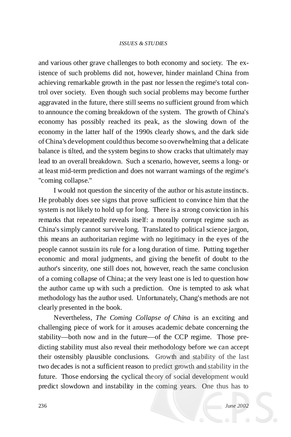### *ISSUES & STUDIES*

and various other grave challenges to both economy and society. The existence of such problems did not, however, hinder mainland China from achieving remarkable growth in the past nor lessen the regime's total control over society. Even though such social problems may become further aggravated in the future, there still seems no sufficient ground from which to announce the coming breakdown of the system. The growth of China's economy has possibly reached its peak, as the slowing down of the economy in the latter half of the 1990s clearly shows, and the dark side of China's development could thus become so overwhelming that a delicate balance is tilted, and the system beginsto show cracks that ultimately may lead to an overall breakdown. Such a scenario, however, seems a long- or at least mid-term prediction and does not warrant warnings of the regime's "coming collapse."

I would not question the sincerity of the author or his astute instincts. He probably does see signs that prove sufficient to convince him that the system is not likely to hold up for long. There is a strong conviction in his remarks that repeatedly reveals itself: a morally corrupt regime such as China's simply cannot survive long. Translated to political science jargon, this means an authoritarian regime with no legitimacy in the eyes of the people cannot sustain its rule for a long duration of time. Putting together economic and moral judgments, and giving the benefit of doubt to the author's sincerity, one still does not, however, reach the same conclusion of a coming collapse of China; at the very least one is led to question how the author came up with such a prediction. One is tempted to ask what methodology has the author used. Unfortunately, Chang's methods are not clearly presented in the book.

Nevertheless, *The Coming Collapse of China* is an exciting and challenging piece of work for it arouses academic debate concerning the stability— both now and in the future— of the CCP regime. Those predicting stability must also reveal their methodology before we can accept their ostensibly plausible conclusions. Growth and stability of the last two decades is not a sufficient reason to predict growth and stability in the future. Those endorsing the cyclical theory of social development would predict slowdown and instability in the coming years. One thus has to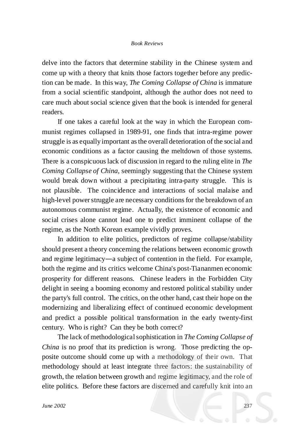#### *Book Reviews*

delve into the factors that determine stability in the Chinese system and come up with a theory that knits those factors together before any prediction can be made. In this way, *The Coming Collapse of China* is immature from a social scientific standpoint, although the author does not need to care much about social science given that the book is intended for general readers.

If one takes a careful look at the way in which the European communist regimes collapsed in 1989-91, one finds that intra-regime power struggle is as equally important asthe overall deterioration of the social and economic conditions as a factor causing the meltdown of those systems. There is a conspicuouslack of discussion in regard to the ruling elite in *The Coming Collapse of China*, seemingly suggesting that the Chinese system would break down without a precipitating intra-party struggle. This is not plausible. The coincidence and interactions of social malaise and high-level power struggle are necessary conditions for the breakdown of an autonomous communist regime. Actually, the existence of economic and social crises alone cannot lead one to predict imminent collapse of the regime, as the North Korean example vividly proves.

In addition to elite politics, predictors of regime collapse/stability should present a theory concerning the relations between economic growth and regime legitimacy—a subject of contention in the field. For example, both the regime and its critics welcome China's post-Tiananmen economic prosperity for different reasons. Chinese leaders in the Forbidden City delight in seeing a booming economy and restored political stability under the party's full control. The critics, on the other hand, cast their hope on the modernizing and liberalizing effect of continued economic development and predict a possible political transformation in the early twenty-first century. Who is right? Can they be both correct?

The lack of methodologicalsophistication in *The Coming Collapse of China* is no proof that its prediction is wrong. Those predicting the opposite outcome should come up with a methodology of their own. That methodology should at least integrate three factors: the sustainability of growth, the relation between growth and regime legitimacy, and the role of elite politics. Before these factors are discerned and carefully knit into an